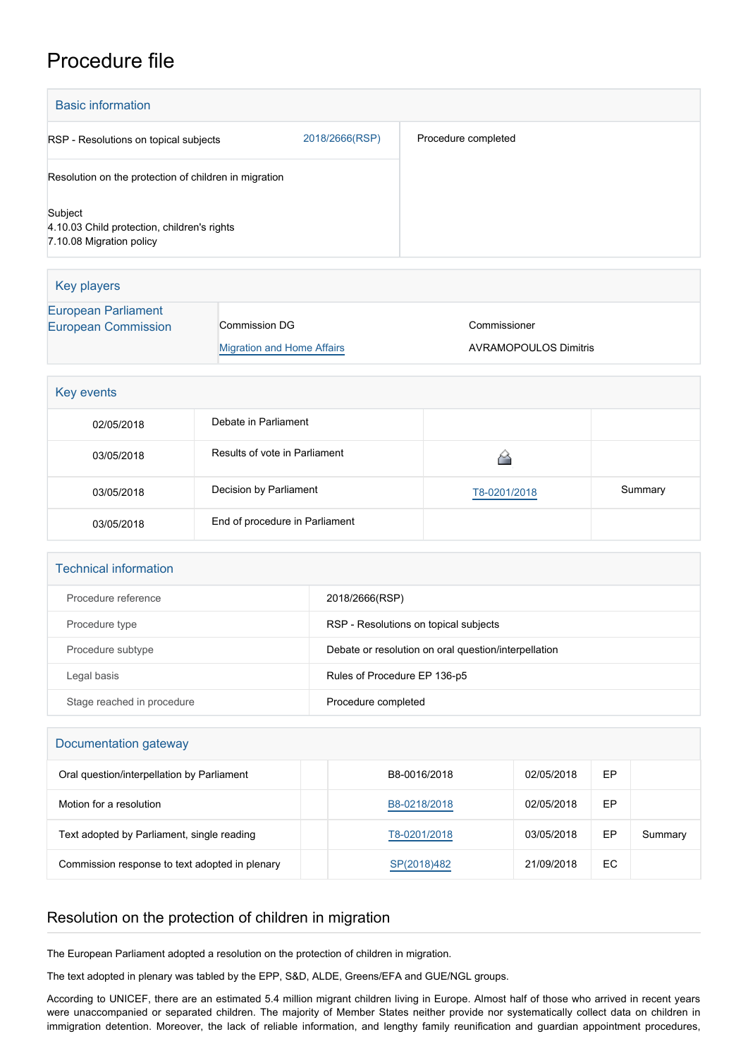## Procedure file

| <b>Basic information</b>                                                           |                                   |                                                      |                     |              |    |         |  |
|------------------------------------------------------------------------------------|-----------------------------------|------------------------------------------------------|---------------------|--------------|----|---------|--|
| RSP - Resolutions on topical subjects                                              |                                   | 2018/2666(RSP)                                       | Procedure completed |              |    |         |  |
| Resolution on the protection of children in migration                              |                                   |                                                      |                     |              |    |         |  |
| Subject<br>4.10.03 Child protection, children's rights<br>7.10.08 Migration policy |                                   |                                                      |                     |              |    |         |  |
| <b>Key players</b>                                                                 |                                   |                                                      |                     |              |    |         |  |
| <b>European Parliament</b><br><b>European Commission</b>                           | <b>Migration and Home Affairs</b> | Commissioner<br><b>AVRAMOPOULOS Dimitris</b>         |                     |              |    |         |  |
| Key events                                                                         |                                   |                                                      |                     |              |    |         |  |
| 02/05/2018                                                                         | Debate in Parliament              |                                                      |                     |              |    |         |  |
| 03/05/2018                                                                         | Results of vote in Parliament     |                                                      |                     | 6            |    |         |  |
| 03/05/2018                                                                         | Decision by Parliament            |                                                      |                     | T8-0201/2018 |    | Summary |  |
| 03/05/2018                                                                         | End of procedure in Parliament    |                                                      |                     |              |    |         |  |
| <b>Technical information</b>                                                       |                                   |                                                      |                     |              |    |         |  |
| Procedure reference                                                                |                                   | 2018/2666(RSP)                                       |                     |              |    |         |  |
| Procedure type                                                                     |                                   | RSP - Resolutions on topical subjects                |                     |              |    |         |  |
| Procedure subtype                                                                  |                                   | Debate or resolution on oral question/interpellation |                     |              |    |         |  |
| Legal basis                                                                        |                                   | Rules of Procedure EP 136-p5                         |                     |              |    |         |  |
| Stage reached in procedure                                                         | Procedure completed               |                                                      |                     |              |    |         |  |
| Documentation gateway                                                              |                                   |                                                      |                     |              |    |         |  |
| Oral question/interpellation by Parliament                                         |                                   | B8-0016/2018                                         | 02/05/2018          | EP           |    |         |  |
| Motion for a resolution                                                            |                                   |                                                      | B8-0218/2018        | 02/05/2018   | EP |         |  |
| Text adopted by Parliament, single reading                                         |                                   |                                                      | T8-0201/2018        | 03/05/2018   | EP | Summary |  |
| Commission response to text adopted in plenary                                     |                                   | SP(2018)482                                          | 21/09/2018          | EC           |    |         |  |

## Resolution on the protection of children in migration

The European Parliament adopted a resolution on the protection of children in migration.

The text adopted in plenary was tabled by the EPP, S&D, ALDE, Greens/EFA and GUE/NGL groups.

According to UNICEF, there are an estimated 5.4 million migrant children living in Europe. Almost half of those who arrived in recent years were unaccompanied or separated children. The majority of Member States neither provide nor systematically collect data on children in immigration detention. Moreover, the lack of reliable information, and lengthy family reunification and guardian appointment procedures,